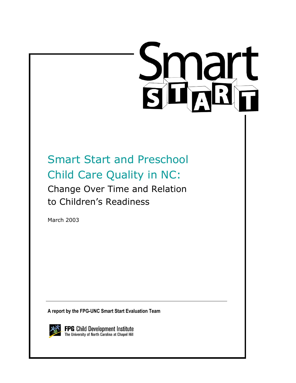# **Smart**<br>BHARH

Smart Start and Preschool Child Care Quality in NC: Change Over Time and Relation to Children's Readiness

March 2003

**A report by the FPG-UNC Smart Start Evaluation Team** 

**FPG** Child Development Institute<br>The University of North Carolina at Chapel Hill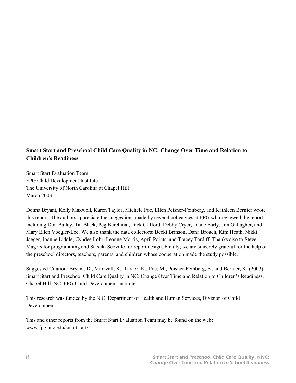# **Smart Start and Preschool Child Care Quality in NC: Change Over Time and Relation to Children's Readiness**

Smart Start Evaluation Team FPG Child Development Institute The University of North Carolina at Chapel Hill March 2003

Donna Bryant, Kelly Maxwell, Karen Taylor, Michele Poe, Ellen Peisner-Feinberg, and Kathleen Bernier wrote this report. The authors appreciate the suggestions made by several colleagues at FPG who reviewed the report, including Don Bailey, Tal Black, Peg Burchinal, Dick Clifford, Debby Cryer, Diane Early, Jim Gallagher, and Mary Ellen Voegler-Lee. We also thank the data collectors: Becki Brinson, Dana Broach, Kim Heath, Nikki Jaeger, Joanne Liddle, Cyndee Lohr, Leanne Morris, April Points, and Tracey Tardiff. Thanks also to Steve Magers for programming and Satsuki Scoville for report design. Finally, we are sincerely grateful for the help of the preschool directors, teachers, parents, and children whose cooperation made the study possible.

Suggested Citation: Bryant, D., Maxwell, K., Taylor, K., Poe, M., Peisner-Feinberg, E., and Bernier, K. (2003). Smart Start and Preschool Child Care Quality in NC: Change Over Time and Relation to Children's Readiness. Chapel Hill, NC: FPG Child Development Institute.

This research was funded by the N.C. Department of Health and Human Services, Division of Child Development.

This and other reports from the Smart Start Evaluation Team may be found on the web: www.fpg.unc.edu/smartstart/.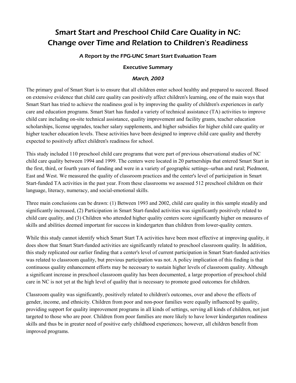# Smart Start and Preschool Child Care Quality in NC: Change over Time and Relation to Children's Readiness

### A Report by the FPG-UNC Smart Start Evaluation Team

### Executive Summary

### March, 2003

The primary goal of Smart Start is to ensure that all children enter school healthy and prepared to succeed. Based on extensive evidence that child care quality can positively affect children's learning, one of the main ways that Smart Start has tried to achieve the readiness goal is by improving the quality of children's experiences in early care and education programs. Smart Start has funded a variety of technical assistance (TA) activities to improve child care including on-site technical assistance, quality improvement and facility grants, teacher education scholarships, license upgrades, teacher salary supplements, and higher subsidies for higher child care quality or higher teacher education levels. These activities have been designed to improve child care quality and thereby expected to positively affect children's readiness for school.

This study included 110 preschool child care programs that were part of previous observational studies of NC child care quality between 1994 and 1999. The centers were located in 20 partnerships that entered Smart Start in the first, third, or fourth years of funding and were in a variety of geographic settings--urban and rural; Piedmont, East and West. We measured the quality of classroom practices and the center's level of participation in Smart Start-funded TA activities in the past year. From these classrooms we assessed 512 preschool children on their language, literacy, numeracy, and social-emotional skills.

Three main conclusions can be drawn: (1) Between 1993 and 2002, child care quality in this sample steadily and significantly increased, (2) Participation in Smart Start-funded activities was significantly positively related to child care quality, and (3) Children who attended higher quality centers score significantly higher on measures of skills and abilities deemed important for success in kindergarten than children from lower-quality centers.

While this study cannot identify which Smart Start TA activities have been most effective at improving quality, it does show that Smart Start-funded activities are significantly related to preschool classroom quality. In addition, this study replicated our earlier finding that a center's level of current participation in Smart Start-funded activities was related to classroom quality, but previous participation was not. A policy implication of this finding is that continuous quality enhancement efforts may be necessary to sustain higher levels of classroom quality. Although a significant increase in preschool classroom quality has been documented, a large proportion of preschool child care in NC is not yet at the high level of quality that is necessary to promote good outcomes for children.

Classroom quality was significantly, positively related to children's outcomes, over and above the effects of gender, income, and ethnicity. Children from poor and non-poor families were equally influenced by quality, providing support for quality improvement programs in all kinds of settings, serving all kinds of children, not just targeted to those who are poor. Children from poor families are more likely to have lower kindergarten readiness skills and thus be in greater need of positive early childhood experiences; however, all children benefit from improved programs.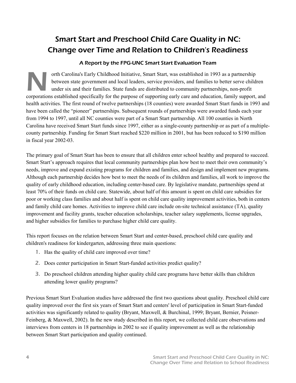# Smart Start and Preschool Child Care Quality in NC: Change over Time and Relation to Children's Readiness

## A Report by the FPG-UNC Smart Start Evaluation Team

orth Carolina's Early Childhood Initiative, Smart Start, was established in 1993 as a partnership between state government and local leaders, service providers, and families to better serve children under six and their families. State funds are distributed to community partnerships, non-profit orth Carolina's Early Childhood Initiative, Smart Start, was established in 1993 as a partnership<br>between state government and local leaders, service providers, and families to better serve children<br>under six and their fam health activities. The first round of twelve partnerships (18 counties) were awarded Smart Start funds in 1993 and have been called the "pioneer" partnerships. Subsequent rounds of partnerships were awarded funds each year from 1994 to 1997, until all NC counties were part of a Smart Start partnership. All 100 counties in North Carolina have received Smart Start funds since 1997, either as a single-county partnership or as part of a multiplecounty partnership. Funding for Smart Start reached \$220 million in 2001, but has been reduced to \$190 million in fiscal year 2002-03.

The primary goal of Smart Start has been to ensure that all children enter school healthy and prepared to succeed. Smart Start's approach requires that local community partnerships plan how best to meet their own community's needs, improve and expand existing programs for children and families, and design and implement new programs. Although each partnership decides how best to meet the needs of its children and families, all work to improve the quality of early childhood education, including center-based care. By legislative mandate, partnerships spend at least 70% of their funds on child care. Statewide, about half of this amount is spent on child care subsidies for poor or working class families and about half is spent on child care quality improvement activities, both in centers and family child care homes. Activities to improve child care include on-site technical assistance (TA), quality improvement and facility grants, teacher education scholarships, teacher salary supplements, license upgrades, and higher subsidies for families to purchase higher child care quality.

This report focuses on the relation between Smart Start and center-based, preschool child care quality and children's readiness for kindergarten, addressing three main questions:

- 1. Has the quality of child care improved over time?
- 2. Does center participation in Smart Start-funded activities predict quality?
- 3. Do preschool children attending higher quality child care programs have better skills than children attending lower quality programs?

Previous Smart Start Evaluation studies have addressed the first two questions about quality. Preschool child care quality improved over the first six years of Smart Start and centers' level of participation in Smart Start-funded activities was significantly related to quality (Bryant, Maxwell, & Burchinal, 1999; Bryant, Bernier, Peisner-Feinberg, & Maxwell, 2002). In the new study described in this report, we collected child care observations and interviews from centers in 18 partnerships in 2002 to see if quality improvement as well as the relationship between Smart Start participation and quality continued.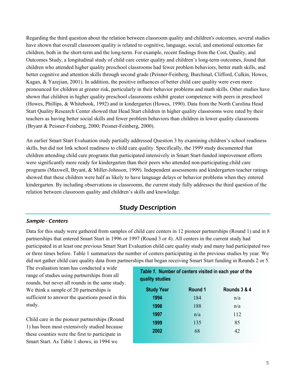Regarding the third question about the relation between classroom quality and children's outcomes, several studies have shown that overall classroom quality is related to cognitive, language, social, and emotional outcomes for children, both in the short-term and the long-term. For example, recent findings from the Cost, Quality, and Outcomes Study, a longitudinal study of child care center quality and children's long-term outcomes, found that children who attended higher quality preschool classrooms had fewer problem behaviors, better math skills, and better cognitive and attention skills through second grade (Peisner-Feinberg, Burchinal, Clifford, Culkin, Howes, Kagan, & Yazejian, 2001). In addition, the positive influences of better child care quality were even more pronounced for children at greater risk, particularly in their behavior problems and math skills. Other studies have shown that children in higher quality preschool classrooms exhibit greater competence with peers in preschool (Howes, Phillips, & Whitebook, 1992) and in kindergarten (Howes, 1990). Data from the North Carolina Head Start Quality Research Center showed that Head Start children in higher quality classrooms were rated by their teachers as having better social skills and fewer problem behaviors than children in lower quality classrooms (Bryant & Peisner-Feinberg, 2000; Peisner-Feinberg, 2000).

An earlier Smart Start Evaluation study partially addressed Question 3 by examining children's school readiness skills, but did not link school readiness to child care quality. Specifically, the 1999 study documented that children attending child care programs that participated intensively in Smart Start-funded improvement efforts were significantly more ready for kindergarten than their peers who attended non-participating child care programs (Maxwell, Bryant, & Miller-Johnson, 1999). Independent assessments and kindergarten teacher ratings showed that these children were half as likely to have language delays or behavior problems when they entered kindergarten. By including observations in classrooms, the current study fully addresses the third question of the relation between classroom quality and children's skills and knowledge.

# Study Description

### Sample - Centers

Data for this study were gathered from samples of child care centers in 12 pioneer partnerships (Round 1) and in 8 partnerships that entered Smart Start in 1996 or 1997 (Round 3 or 4). All centers in the current study had participated in at least one previous Smart Start Evaluation child care quality study and many had participated two or three times before. Table 1 summarizes the number of centers participating in the previous studies by year. We did not gather child care quality data from partnerships that began receiving Smart Start funding in Rounds 2 or 5.

The evaluation team has conducted a wide range of studies using partnerships from all rounds, but never all rounds in the same study. We think a sample of 20 partnerships is sufficient to answer the questions posed in this study.

Child care in the pioneer partnerships (Round 1) has been most extensively studied because these counties were the first to participate in Smart Start. As Table 1 shows, in 1994 we

# *Table 1.* **Number of centers visited in each year of the quality studies**

| <b>Study Year</b> | Round 1 | Rounds 3 & 4 |
|-------------------|---------|--------------|
| 1994              | 184     | n/a          |
| 1996              | 188     | n/a          |
| 1997              | n/a     | 112          |
| 1999              | 135     | 85           |
| 2002              | 68      | 42           |
|                   |         |              |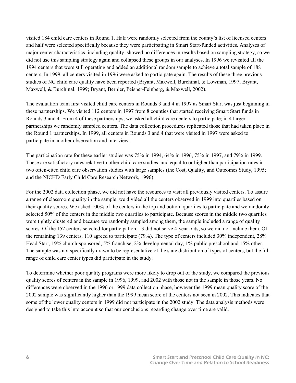visited 184 child care centers in Round 1. Half were randomly selected from the county's list of licensed centers and half were selected specifically because they were participating in Smart Start-funded activities. Analyses of major center characteristics, including quality, showed no differences in results based on sampling strategy, so we did not use this sampling strategy again and collapsed these groups in our analyses. In 1996 we revisited all the 1994 centers that were still operating and added an additional random sample to achieve a total sample of 188 centers. In 1999, all centers visited in 1996 were asked to participate again. The results of these three previous studies of NC child care quality have been reported (Bryant, Maxwell, Burchinal, & Lowman, 1997; Bryant, Maxwell, & Burchinal, 1999; Bryant, Bernier, Peisner-Feinberg, & Maxwell, 2002).

The evaluation team first visited child care centers in Rounds 3 and 4 in 1997 as Smart Start was just beginning in these partnerships. We visited 112 centers in 1997 from 8 counties that started receiving Smart Start funds in Rounds 3 and 4. From 4 of these partnerships, we asked all child care centers to participate; in 4 larger partnerships we randomly sampled centers. The data collection procedures replicated those that had taken place in the Round 1 partnerships. In 1999, all centers in Rounds 3 and 4 that were visited in 1997 were asked to participate in another observation and interview.

The participation rate for these earlier studies was 75% in 1994, 64% in 1996, 75% in 1997, and 79% in 1999. These are satisfactory rates relative to other child care studies, and equal to or higher than participation rates in two often-cited child care observation studies with large samples (the Cost, Quality, and Outcomes Study, 1995; and the NICHD Early Child Care Research Network, 1996).

For the 2002 data collection phase, we did not have the resources to visit all previously visited centers. To assure a range of classroom quality in the sample, we divided all the centers observed in 1999 into quartiles based on their quality scores. We asked 100% of the centers in the top and bottom quartiles to participate and we randomly selected 50% of the centers in the middle two quartiles to participate. Because scores in the middle two quartiles were tightly clustered and because we randomly sampled among them, the sample included a range of quality scores. Of the 152 centers selected for participation, 13 did not serve 4-year-olds, so we did not include them. Of the remaining 139 centers, 110 agreed to participate (79%). The type of centers included 30% independent, 28% Head Start, 19% church-sponsored, 5% franchise, 2% developmental day, 1% public preschool and 15% other. The sample was not specifically drawn to be representative of the state distribution of types of centers, but the full range of child care center types did participate in the study.

To determine whether poor quality programs were more likely to drop out of the study, we compared the previous quality scores of centers in the sample in 1996, 1999, and 2002 with those not in the sample in those years. No differences were observed in the 1996 or 1999 data collection phase, however the 1999 mean quality score of the 2002 sample was significantly higher than the 1999 mean score of the centers not seen in 2002. This indicates that some of the lower quality centers in 1999 did not participate in the 2002 study. The data analysis methods were designed to take this into account so that our conclusions regarding change over time are valid.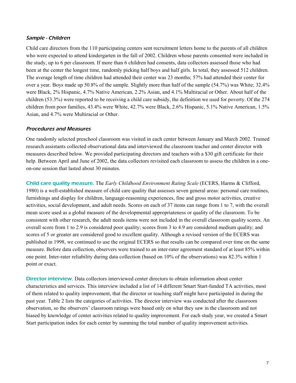### Sample - Children

Child care directors from the 110 participating centers sent recruitment letters home to the parents of all children who were expected to attend kindergarten in the fall of 2002. Children whose parents consented were included in the study, up to 6 per classroom. If more than 6 children had consents, data collectors assessed those who had been at the center the longest time, randomly picking half boys and half girls. In total, they assessed 512 children. The average length of time children had attended their center was 23 months; 57% had attended their center for over a year. Boys made up 50.8% of the sample. Slightly more than half of the sample (54.7%) was White; 32.4% were Black, 2% Hispanic, 4.7% Native American, 2.2% Asian, and 4.1% Multiracial or Other. About half of the children (53.3%) were reported to be receiving a child care subsidy, the definition we used for poverty. Of the 274 children from poor families, 43.4% were White, 42.7% were Black, 2.6% Hispanic, 5.1% Native American, 1.5% Asian, and 4.7% were Multiracial or Other.

### Procedures and Measures

One randomly selected preschool classroom was visited in each center between January and March 2002. Trained research assistants collected observational data and interviewed the classroom teacher and center director with measures described below. We provided participating directors and teachers with a \$30 gift certificate for their help. Between April and June of 2002, the data collectors revisited each classroom to assess the children in a oneon-one session that lasted about 30 minutes.

Child care quality measure. The *Early Childhood Environment Rating Scale* (ECERS, Harms & Clifford, 1980) is a well-established measure of child care quality that assesses seven general areas: personal care routines, furnishings and display for children, language-reasoning experiences, fine and gross motor activities, creative activities, social development, and adult needs. Scores on each of 37 items can range from 1 to 7, with the overall mean score used as a global measure of the developmental appropriateness or quality of the classroom. To be consistent with other research, the adult needs items were not included in the overall classroom quality scores. An overall score from 1 to 2.9 is considered poor quality; scores from 3 to 4.9 are considered medium quality; and scores of 5 or greater are considered good to excellent quality. Although a revised version of the ECERS was published in 1998, we continued to use the original ECERS so that results can be compared over time on the same measure. Before data collection, observers were trained to an inter-rater agreement standard of at least 85% within one point. Inter-rater reliability during data collection (based on 10% of the observations) was 82.3% within 1 point or exact.

Director interview. Data collectors interviewed center directors to obtain information about center characteristics and services. This interview included a list of 14 different Smart Start-funded TA activities, most of them related to quality improvement, that the director or teaching staff might have participated in during the past year. Table 2 lists the categories of activities. The director interview was conducted after the classroom observation, so the observers' classroom ratings were based only on what they saw in the classroom and not biased by knowledge of center activities related to quality improvement. For each study year, we created a Smart Start participation index for each center by summing the total number of quality improvement activities.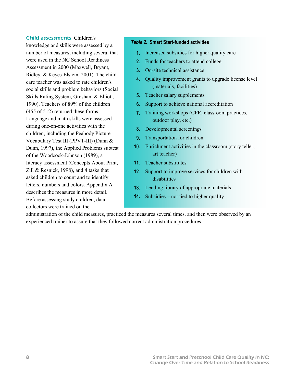### Child assessments. Children's

knowledge and skills were assessed by a number of measures, including several that were used in the NC School Readiness Assessment in 2000 (Maxwell, Bryant, Ridley, & Keyes-Elstein, 2001). The child care teacher was asked to rate children's social skills and problem behaviors (Social Skills Rating System, Gresham & Elliott, 1990). Teachers of 89% of the children (455 of 512) returned these forms. Language and math skills were assessed during one-on-one activities with the children, including the Peabody Picture Vocabulary Test III (PPVT-III) (Dunn & Dunn, 1997), the Applied Problems subtest of the Woodcock-Johnson (1989), a literacy assessment (Concepts About Print, Zill & Resnick, 1998), and 4 tasks that asked children to count and to identify letters, numbers and colors. Appendix A describes the measures in more detail. Before assessing study children, data collectors were trained on the

### *Table 2.* **Smart Start-funded activities**

- **1.** Increased subsidies for higher quality care
- **2.** Funds for teachers to attend college
- **3.** On-site technical assistance
- **4.** Quality improvement grants to upgrade license level (materials, facilities)
- **5.** Teacher salary supplements
- **6.** Support to achieve national accreditation
- **7.** Training workshops (CPR, classroom practices, outdoor play, etc.)
- **8.** Developmental screenings
- **9.** Transportation for children
- **10.** Enrichment activities in the classroom (story teller, art teacher)
- **11.** Teacher substitutes
- **12.** Support to improve services for children with disabilities
- **13.** Lending library of appropriate materials
- **14.** Subsidies not tied to higher quality

administration of the child measures, practiced the measures several times, and then were observed by an experienced trainer to assure that they followed correct administration procedures.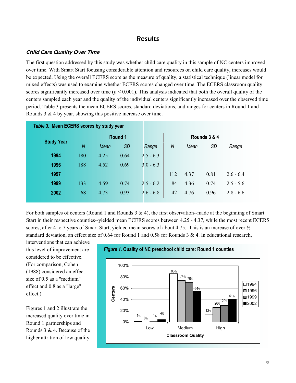# **Results**

### Child Care Quality Over Time

The first question addressed by this study was whether child care quality in this sample of NC centers improved over time. With Smart Start focusing considerable attention and resources on child care quality, increases would be expected. Using the overall ECERS score as the measure of quality, a statistical technique (linear model for mixed effects) was used to examine whether ECERS scores changed over time. The ECERS classroom quality scores significantly increased over time  $(p < 0.001)$ . This analysis indicated that both the overall quality of the centers sampled each year and the quality of the individual centers significantly increased over the observed time period. Table 3 presents the mean ECERS scores, standard deviations, and ranges for centers in Round 1 and Rounds 3 & 4 by year, showing this positive increase over time.

| Table 3. Mean ECERS scores by study year |     |      |           |                |     |      |              |             |  |  |  |
|------------------------------------------|-----|------|-----------|----------------|-----|------|--------------|-------------|--|--|--|
|                                          |     |      |           | <b>Round 1</b> |     |      | Rounds 3 & 4 |             |  |  |  |
| <b>Study Year</b>                        | N   | Mean | <b>SD</b> | Range          | N   | Mean | <b>SD</b>    | Range       |  |  |  |
| 1994                                     | 180 | 4.25 | 0.64      | $2.5 - 6.3$    |     |      |              |             |  |  |  |
| 1996                                     | 188 | 4.52 | 0.69      | $3.0 - 6.3$    |     |      |              |             |  |  |  |
| 1997                                     |     |      |           |                | 112 | 4.37 | 0.81         | $2.6 - 6.4$ |  |  |  |
| 1999                                     | 133 | 4.59 | 0.74      | $2.5 - 6.2$    | 84  | 4.36 | 0.74         | $2.5 - 5.6$ |  |  |  |
| 2002                                     | 68  | 4.73 | 0.93      | $2.6 - 6.8$    | 42  | 4.76 | 0.96         | $2.8 - 6.6$ |  |  |  |
|                                          |     |      |           |                |     |      |              |             |  |  |  |

For both samples of centers (Round 1 and Rounds  $3 \& 4$ ), the first observation--made at the beginning of Smart Start in their respective counties--yielded mean ECERS scores between 4.25 - 4.37, while the most recent ECERS scores, after 4 to 7 years of Smart Start, yielded mean scores of about 4.75. This is an increase of over  $\frac{1}{2}$ standard deviation, an effect size of 0.64 for Round 1 and 0.58 for Rounds 3 & 4. In educational research,

interventions that can achieve this level of improvement are considered to be effective. (For comparison, Cohen (1988) considered an effect size of 0.5 as a "medium" effect and 0.8 as a "large" effect.)

Figures 1 and 2 illustrate the increased quality over time in Round 1 partnerships and Rounds 3 & 4. Because of the higher attrition of low quality



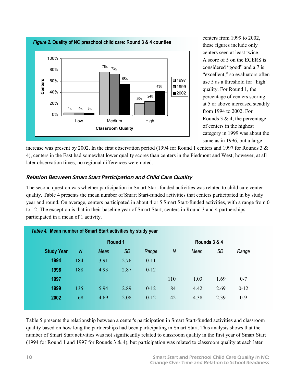

centers from 1999 to 2002, these figures include only centers seen at least twice. A score of 5 on the ECERS is considered "good" and a 7 is "excellent," so evaluators often use 5 as a threshold for "high" quality. For Round 1, the percentage of centers scoring at 5 or above increased steadily from 1994 to 2002. For Rounds 3  $& 4$ , the percentage of centers in the highest category in 1999 was about the same as in 1996, but a large

increase was present by 2002. In the first observation period (1994 for Round 1 centers and 1997 for Rounds 3 & 4), centers in the East had somewhat lower quality scores than centers in the Piedmont and West; however, at all later observation times, no regional differences were noted.

### Relation Between Smart Start Participation and Child Care Quality

The second question was whether participation in Smart Start-funded activities was related to child care center quality. Table 4 presents the mean number of Smart Start-funded activities that centers participated in by study year and round. On average, centers participated in about 4 or 5 Smart Start-funded activities, with a range from 0 to 12. The exception is that in their baseline year of Smart Start, centers in Round 3 and 4 partnerships participated in a mean of 1 activity.

| Round 1           |     |      |           |          |     | Rounds 3 & 4 |           |          |
|-------------------|-----|------|-----------|----------|-----|--------------|-----------|----------|
| <b>Study Year</b> | N   | Mean | <b>SD</b> | Range    | N   | Mean         | <b>SD</b> | Range    |
| 1994              | 184 | 3.91 | 2.76      | $0 - 11$ |     |              |           |          |
| 1996              | 188 | 4.93 | 2.87      | $0-12$   |     |              |           |          |
| 1997              |     |      |           |          | 110 | 1.03         | 1.69      | $0 - 7$  |
| 1999              | 135 | 5.94 | 2.89      | $0-12$   | 84  | 4.42         | 2.69      | $0 - 12$ |
| 2002              | 68  | 4.69 | 2.08      | $0-12$   | 42  | 4.38         | 2.39      | $0-9$    |

Table 5 presents the relationship between a center's participation in Smart Start-funded activities and classroom quality based on how long the partnerships had been participating in Smart Start. This analysis shows that the number of Smart Start activities was not significantly related to classroom quality in the first year of Smart Start (1994 for Round 1 and 1997 for Rounds 3 & 4), but participation was related to classroom quality at each later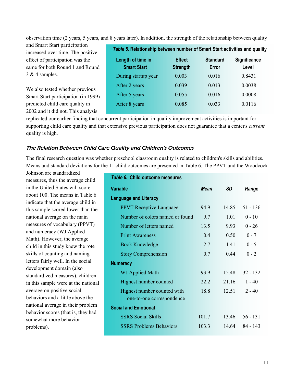observation time (2 years, 5 years, and 8 years later). In addition, the strength of the relationship between quality

and Smart Start participation increased over time. The positive effect of participation was the same for both Round 1 and Round 3 & 4 samples.

We also tested whether previous Smart Start participation (in 1999) predicted child care quality in 2002 and it did not. This analysis

| Table 5. Relationship between number of Smart Start activities and quality |                                  |                          |                              |  |  |  |  |  |
|----------------------------------------------------------------------------|----------------------------------|--------------------------|------------------------------|--|--|--|--|--|
| Length of time in<br><b>Smart Start</b>                                    | <b>Effect</b><br><b>Strength</b> | <b>Standard</b><br>Error | <b>Significance</b><br>Level |  |  |  |  |  |
| During startup year                                                        | 0.003                            | 0.016                    | 0.8431                       |  |  |  |  |  |
| After 2 years                                                              | 0.039                            | 0.013                    | 0.0038                       |  |  |  |  |  |
| After 5 years                                                              | 0.055                            | 0.016                    | 0.0008                       |  |  |  |  |  |
| After 8 years                                                              | 0.085                            | 0.033                    | 0.0116                       |  |  |  |  |  |
|                                                                            |                                  |                          |                              |  |  |  |  |  |

replicated our earlier finding that concurrent participation in quality improvement activities is important for supporting child care quality and that extensive previous participation does not guarantee that a center's *current* quality is high.

### The Relation Between Child Care Quality and Children's Outcomes

The final research question was whether preschool classroom quality is related to children's skills and abilities. Means and standard deviations for the 11 child outcomes are presented in Table 6. The PPVT and the Woodcock

Johnson are standardized measures, thus the average child in the United States will score about 100. The means in Table 6 indicate that the average child in this sample scored lower than the national average on the main measures of vocabulary (PPVT) and numeracy (WJ Applied Math). However, the average child in this study knew the rote skills of counting and naming letters fairly well. In the social development domain (also standardized measures), children in this sample were at the national average on positive social behaviors and a little above the national average in their problem behavior scores (that is, they had somewhat more behavior problems).

| Table 6. Child outcome measures                          |             |       |            |
|----------------------------------------------------------|-------------|-------|------------|
| <b>Variable</b>                                          | <b>Mean</b> | SD    | Range      |
| <b>Language and Literacy</b>                             |             |       |            |
| <b>PPVT</b> Receptive Language                           | 949         | 14.85 | $51 - 136$ |
| Number of colors named or found                          | 9.7         | 1.01  | $0 - 10$   |
| Number of letters named                                  | 13.5        | 9.93  | $0 - 26$   |
| <b>Print Awareness</b>                                   | 04          | 0.50  | $0 - 7$    |
| <b>Book Knowledge</b>                                    | 27          | 141   | $0 - 5$    |
| <b>Story Comprehension</b>                               | 07          | 0.44  | $0 - 2$    |
| <b>Numeracy</b>                                          |             |       |            |
| WJ Applied Math                                          | 93.9        | 1548  | $32 - 132$ |
| Highest number counted                                   | 22.2        | 21.16 | $1 - 40$   |
| Highest number counted with<br>one-to-one correspondence | 18.8        | 12.51 | $2 - 40$   |
| <b>Social and Emotional</b>                              |             |       |            |
| <b>SSRS</b> Social Skills                                | 101.7       | 13.46 | $56 - 131$ |
| <b>SSRS Problems Behaviors</b>                           | 103.3       | 14.64 | 84 - 143   |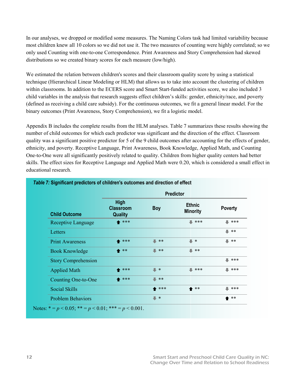In our analyses, we dropped or modified some measures. The Naming Colors task had limited variability because most children knew all 10 colors so we did not use it. The two measures of counting were highly correlated; so we only used Counting with one-to-one Correspondence. Print Awareness and Story Comprehension had skewed distributions so we created binary scores for each measure (low/high).

We estimated the relation between children's scores and their classroom quality score by using a statistical technique (Hierarchical Linear Modeling or HLM) that allows us to take into account the clustering of children within classrooms. In addition to the ECERS score and Smart Start-funded activities score, we also included 3 child variables in the analysis that research suggests effect children's skills: gender, ethnicity/race, and poverty (defined as receiving a child care subsidy). For the continuous outcomes, we fit a general linear model. For the binary outcomes (Print Awareness, Story Comprehension), we fit a logistic model.

Appendix B includes the complete results from the HLM analyses. Table 7 summarizes these results showing the number of child outcomes for which each predictor was significant and the direction of the effect. Classroom quality was a significant positive predictor for 5 of the 9 child outcomes after accounting for the effects of gender, ethnicity, and poverty. Receptive Language, Print Awareness, Book Knowledge, Applied Math, and Counting One-to-One were all significantly positively related to quality. Children from higher quality centers had better skills. The effect sizes for Receptive Language and Applied Math were 0.20, which is considered a small effect in educational research.

|                            | <b>Predictor</b>                           |                   |                                  |                    |  |  |  |  |
|----------------------------|--------------------------------------------|-------------------|----------------------------------|--------------------|--|--|--|--|
| <b>Child Outcome</b>       | High<br><b>Classroom</b><br><b>Quality</b> | <b>Boy</b>        | <b>Ethnic</b><br><b>Minority</b> | <b>Poverty</b>     |  |  |  |  |
| Receptive Language         | ▲ ***                                      |                   | $\blacksquare$ ***               | $\blacksquare$ *** |  |  |  |  |
| Letters                    |                                            |                   |                                  | - **               |  |  |  |  |
| <b>Print Awareness</b>     | ▲ ***                                      | ш<br>**           | $\blacksquare$ *                 | ∎ **               |  |  |  |  |
| <b>Book Knowledge</b>      | ↑ **                                       | $\blacksquare$ ** | <b>L</b> **                      |                    |  |  |  |  |
| <b>Story Comprehension</b> |                                            |                   |                                  | <b>L</b> ***       |  |  |  |  |
| <b>Applied Math</b>        | ▲ ***                                      | $\blacksquare$ *  | $\blacksquare$ ***               | <b>L</b> ***       |  |  |  |  |
| Counting One-to-One        | ▲ ***                                      | п<br>**           |                                  |                    |  |  |  |  |
| Social Skills              |                                            | ▲ ***             | $**$                             | <b>L</b> ***       |  |  |  |  |
| <b>Problem Behaviors</b>   |                                            | ≖<br>$\ast$       |                                  | $**$               |  |  |  |  |

### *Table 7:* **Significant predictors of children's outcomes and direction of effect**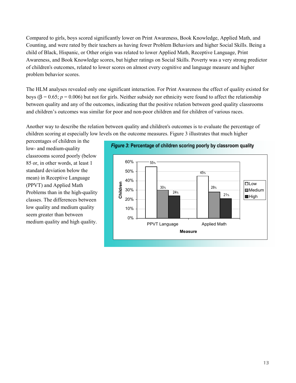Compared to girls, boys scored significantly lower on Print Awareness, Book Knowledge, Applied Math, and Counting, and were rated by their teachers as having fewer Problem Behaviors and higher Social Skills. Being a child of Black, Hispanic, or Other origin was related to lower Applied Math, Receptive Language, Print Awareness, and Book Knowledge scores, but higher ratings on Social Skills. Poverty was a very strong predictor of children's outcomes, related to lower scores on almost every cognitive and language measure and higher problem behavior scores.

The HLM analyses revealed only one significant interaction. For Print Awareness the effect of quality existed for boys (β = 0.65;  $p = 0.006$ ) but not for girls. Neither subsidy nor ethnicity were found to affect the relationship between quality and any of the outcomes, indicating that the positive relation between good quality classrooms and children's outcomes was similar for poor and non-poor children and for children of various races.

Another way to describe the relation between quality and children's outcomes is to evaluate the percentage of children scoring at especially low levels on the outcome measures. Figure 3 illustrates that much higher

percentages of children in the low- and medium-quality classrooms scored poorly (below 85 or, in other words, at least 1 standard deviation below the mean) in Receptive Language (PPVT) and Applied Math Problems than in the high-quality classes. The differences between low quality and medium quality seem greater than between medium quality and high quality.



### *Figure 3***: Percentage of children scoring poorly by classroom quality**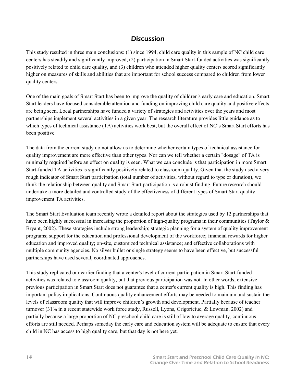# **Discussion**

This study resulted in three main conclusions: (1) since 1994, child care quality in this sample of NC child care centers has steadily and significantly improved, (2) participation in Smart Start-funded activities was significantly positively related to child care quality, and (3) children who attended higher quality centers scored significantly higher on measures of skills and abilities that are important for school success compared to children from lower quality centers.

One of the main goals of Smart Start has been to improve the quality of children's early care and education. Smart Start leaders have focused considerable attention and funding on improving child care quality and positive effects are being seen. Local partnerships have funded a variety of strategies and activities over the years and most partnerships implement several activities in a given year. The research literature provides little guidance as to which types of technical assistance (TA) activities work best, but the overall effect of NC's Smart Start efforts has been positive.

The data from the current study do not allow us to determine whether certain types of technical assistance for quality improvement are more effective than other types. Nor can we tell whether a certain "dosage" of TA is minimally required before an effect on quality is seen. What we can conclude is that participation in more Smart Start-funded TA activities is significantly positively related to classroom quality. Given that the study used a very rough indicator of Smart Start participation (total number of activities, without regard to type or duration), we think the relationship between quality and Smart Start participation is a robust finding. Future research should undertake a more detailed and controlled study of the effectiveness of different types of Smart Start quality improvement TA activities.

The Smart Start Evaluation team recently wrote a detailed report about the strategies used by 12 partnerships that have been highly successful in increasing the proportion of high-quality programs in their communities (Taylor & Bryant, 2002). These strategies include strong leadership; strategic planning for a system of quality improvement programs; support for the education and professional development of the workforce; financial rewards for higher education and improved quality; on-site, customized technical assistance; and effective collaborations with multiple community agencies. No silver bullet or single strategy seems to have been effective, but successful partnerships have used several, coordinated approaches.

This study replicated our earlier finding that a center's level of current participation in Smart Start-funded activities was related to classroom quality, but that previous participation was not. In other words, extensive previous participation in Smart Start does not guarantee that a center's current quality is high. This finding has important policy implications. Continuous quality enhancement efforts may be needed to maintain and sustain the levels of classroom quality that will improve children's growth and development. Partially because of teacher turnover (31% in a recent statewide work force study, Russell, Lyons, Grigoriciuc, & Lowman, 2002) and partially because a large proportion of NC preschool child care is still of low to average quality, continuous efforts are still needed. Perhaps someday the early care and education system will be adequate to ensure that every child in NC has access to high quality care, but that day is not here yet.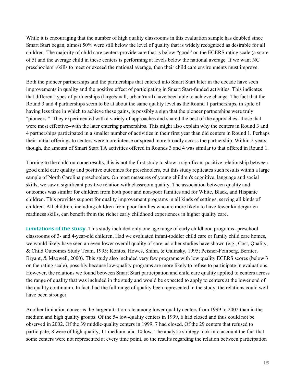While it is encouraging that the number of high quality classrooms in this evaluation sample has doubled since Smart Start began, almost 50% were still below the level of quality that is widely recognized as desirable for all children. The majority of child care centers provide care that is below "good" on the ECERS rating scale (a score of 5) and the average child in these centers is performing at levels below the national average. If we want NC preschoolers' skills to meet or exceed the national average, then their child care environments must improve.

Both the pioneer partnerships and the partnerships that entered into Smart Start later in the decade have seen improvements in quality and the positive effect of participating in Smart Start-funded activities. This indicates that different types of partnerships (large/small, urban/rural) have been able to achieve change. The fact that the Round 3 and 4 partnerships seem to be at about the same quality level as the Round 1 partnerships, in spite of having less time in which to achieve these gains, is possibly a sign that the pioneer partnerships were truly "pioneers." They experimented with a variety of approaches and shared the best of the approaches--those that were most effective--with the later entering partnerships. This might also explain why the centers in Round 3 and 4 partnerships participated in a smaller number of activities in their first year than did centers in Round 1. Perhaps their initial offerings to centers were more intense or spread more broadly across the partnership. Within 2 years, though, the amount of Smart Start TA activities offered in Rounds 3 and 4 was similar to that offered in Round 1.

Turning to the child outcome results, this is not the first study to show a significant positive relationship between good child care quality and positive outcomes for preschoolers, but this study replicates such results within a large sample of North Carolina preschoolers. On most measures of young children's cognitive, language and social skills, we saw a significant positive relation with classroom quality. The association between quality and outcomes was similar for children from both poor and non-poor families and for White, Black, and Hispanic children. This provides support for quality improvement programs in all kinds of settings, serving all kinds of children. All children, including children from poor families who are more likely to have fewer kindergarten readiness skills, can benefit from the richer early childhood experiences in higher quality care.

Limitations of the study. This study included only one age range of early childhood programs--preschool classrooms of 3- and 4-year-old children. Had we evaluated infant-toddler child care or family child care homes, we would likely have seen an even lower overall quality of care, as other studies have shown (e.g., Cost, Quality, & Child Outcomes Study Team, 1995; Kontos, Howes, Shinn, & Galinsky, 1995; Peisner-Feinberg, Bernier, Bryant, & Maxwell, 2000). This study also included very few programs with low quality ECERS scores (below 3 on the rating scale), possibly because low-quality programs are more likely to refuse to participate in evaluations. However, the relations we found between Smart Start participation and child care quality applied to centers across the range of quality that was included in the study and would be expected to apply to centers at the lower end of the quality continuum. In fact, had the full range of quality been represented in the study, the relations could well have been stronger.

Another limitation concerns the larger attrition rate among lower quality centers from 1999 to 2002 than in the medium and high quality groups. Of the 54 low-quality centers in 1999, 6 had closed and thus could not be observed in 2002. Of the 39 middle-quality centers in 1999, 7 had closed. Of the 29 centers that refused to participate, 8 were of high quality, 11 medium, and 10 low. The analytic strategy took into account the fact that some centers were not represented at every time point, so the results regarding the relation between participation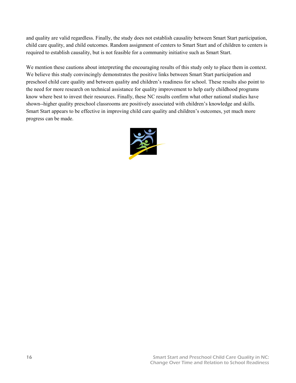and quality are valid regardless. Finally, the study does not establish causality between Smart Start participation, child care quality, and child outcomes. Random assignment of centers to Smart Start and of children to centers is required to establish causality, but is not feasible for a community initiative such as Smart Start.

We mention these cautions about interpreting the encouraging results of this study only to place them in context. We believe this study convincingly demonstrates the positive links between Smart Start participation and preschool child care quality and between quality and children's readiness for school. These results also point to the need for more research on technical assistance for quality improvement to help early childhood programs know where best to invest their resources. Finally, these NC results confirm what other national studies have shown--higher quality preschool classrooms are positively associated with children's knowledge and skills. Smart Start appears to be effective in improving child care quality and children's outcomes, yet much more progress can be made.

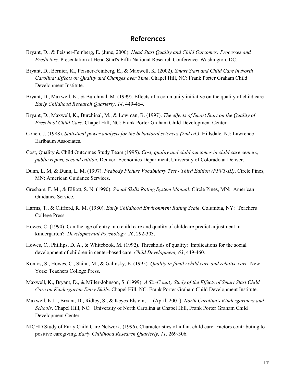- Bryant, D., & Peisner-Feinberg, E. (June, 2000). *Head Start Quality and Child Outcomes: Processes and Predictors*. Presentation at Head Start's Fifth National Research Conference. Washington, DC.
- Bryant, D., Bernier, K., Peisner-Feinberg, E., & Maxwell, K. (2002). *Smart Start and Child Care in North Carolina: Effects on Quality and Changes over Time*. Chapel Hill, NC: Frank Porter Graham Child Development Institute.
- Bryant, D., Maxwell, K., & Burchinal, M. (1999). Effects of a community initiative on the quality of child care. *Early Childhood Research Quarterly*, *14*, 449-464.
- Bryant, D., Maxwell, K., Burchinal, M., & Lowman, B. (1997). *The effects of Smart Start on the Quality of Preschool Child Care*. Chapel Hill, NC: Frank Porter Graham Child Development Center.
- Cohen, J. (1988). *Statistical power analysis for the behavioral sciences (2nd ed.)*. Hillsdale, NJ: Lawrence Earlbaum Associates.
- Cost, Quality & Child Outcomes Study Team (1995). *Cost, quality and child outcomes in child care centers, public report, second edition*. Denver: Economics Department, University of Colorado at Denver.
- Dunn, L. M, & Dunn, L. M. (1997). *Peabody Picture Vocabulary Test Third Edition (PPVT-III)*. Circle Pines, MN: American Guidance Services.
- Gresham, F. M., & Elliott, S. N. (1990). *Social Skills Rating System Manual*. Circle Pines, MN: American Guidance Service.
- Harms, T., & Clifford, R. M. (1980). *Early Childhood Environment Rating Scale*. Columbia, NY: Teachers College Press.
- Howes, C. (1990). Can the age of entry into child care and quality of childcare predict adjustment in kindergarten? *Developmental Psychology, 26*, 292-303.
- Howes, C., Phillips, D. A., & Whitebook, M. (1992). Thresholds of quality: Implications for the social development of children in center-based care. *Child Development, 63*, 449-460.
- Kontos, S., Howes, C., Shinn, M., & Galinsky, E. (1995). *Quality in family child care and relative care*. New York: Teachers College Press.
- Maxwell, K., Bryant, D., & Miller-Johnson, S. (1999). *A Six-County Study of the Effects of Smart Start Child Care on Kindergarten Entry Skills*. Chapel Hill, NC: Frank Porter Graham Child Development Institute.
- Maxwell, K.L., Bryant, D., Ridley, S., & Keyes-Elstein, L. (April, 2001). *North Carolina's Kindergartners and Schools*. Chapel Hill, NC: University of North Carolina at Chapel Hill, Frank Porter Graham Child Development Center.
- NICHD Study of Early Child Care Network. (1996). Characteristics of infant child care: Factors contributing to positive caregiving. *Early Childhood Research Quarterly, 11*, 269-306.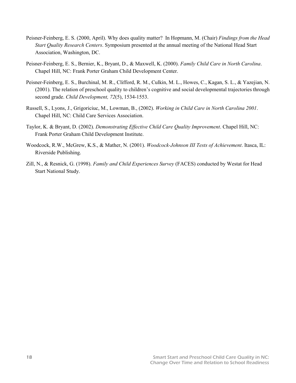- Peisner-Feinberg, E. S. (2000, April). Why does quality matter? In Hopmann, M. (Chair) *Findings from the Head Start Quality Research Centers*. Symposium presented at the annual meeting of the National Head Start Association, Washington, DC.
- Peisner-Feinberg, E. S., Bernier, K., Bryant, D., & Maxwell, K. (2000). *Family Child Care in North Carolina*. Chapel Hill, NC: Frank Porter Graham Child Development Center.
- Peisner-Feinberg, E. S., Burchinal, M. R., Clifford, R. M., Culkin, M. L., Howes, C., Kagan, S. L., & Yazejian, N. (2001). The relation of preschool quality to children's cognitive and social developmental trajectories through second grade. *Child Development, 72*(5), 1534-1553.
- Russell, S., Lyons, J., Grigoriciuc, M., Lowman, B., (2002). *Working in Child Care in North Carolina 2001*. Chapel Hill, NC: Child Care Services Association.
- Taylor, K. & Bryant, D. (2002). *Demonstrating Effective Child Care Quality Improvement*. Chapel Hill, NC: Frank Porter Graham Child Development Institute.
- Woodcock, R.W., McGrew, K.S., & Mather, N. (2001). *Woodcock-Johnson III Tests of Achievement*. Itasca, IL: Riverside Publishing.
- Zill, N., & Resnick, G. (1998). *Family and Child Experiences Survey* (FACES) conducted by Westat for Head Start National Study.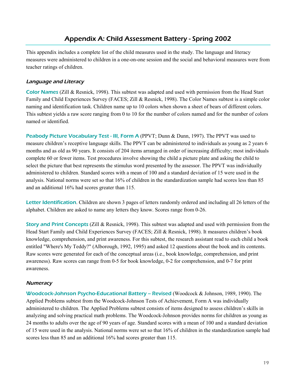# Appendix A: Child Assessment Battery - Spring 2002

This appendix includes a complete list of the child measures used in the study. The language and literacy measures were administered to children in a one-on-one session and the social and behavioral measures were from teacher ratings of children.

### Language and Literacy

Color Names (Zill & Resnick, 1998). This subtest was adapted and used with permission from the Head Start Family and Child Experiences Survey (FACES; Zill & Resnick, 1998). The Color Names subtest is a simple color naming and identification task. Children name up to 10 colors when shown a sheet of bears of different colors. This subtest yields a raw score ranging from 0 to 10 for the number of colors named and for the number of colors named or identified.

Peabody Picture Vocabulary Test - III, Form A (PPVT; Dunn & Dunn, 1997). The PPVT was used to measure children's receptive language skills. The PPVT can be administered to individuals as young as 2 years 6 months and as old as 90 years. It consists of 204 items arranged in order of increasing difficulty; most individuals complete 60 or fewer items. Test procedures involve showing the child a picture plate and asking the child to select the picture that best represents the stimulus word presented by the assessor. The PPVT was individually administered to children. Standard scores with a mean of 100 and a standard deviation of 15 were used in the analysis. National norms were set so that 16% of children in the standardization sample had scores less than 85 and an additional 16% had scores greater than 115.

Letter Identification. Children are shown 3 pages of letters randomly ordered and including all 26 letters of the alphabet. Children are asked to name any letters they know. Scores range from 0-26.

Story and Print Concepts (Zill & Resnick, 1998). This subtest was adapted and used with permission from the Head Start Family and Child Experiences Survey (FACES; Zill & Resnick, 1998). It measures children's book knowledge, comprehension, and print awareness. For this subtest, the research assistant read to each child a book entitled "Where's My Teddy?" (Alborough, 1992, 1995) and asked 12 questions about the book and its contents. Raw scores were generated for each of the conceptual areas (i.e., book knowledge, comprehension, and print awareness). Raw scores can range from 0-5 for book knowledge, 0-2 for comprehension, and 0-7 for print awareness.

### **Numeracy**

Woodcock-Johnson Psycho-Educational Battery -- Revised (Woodcock & Johnson, 1989, 1990). The Applied Problems subtest from the Woodcock-Johnson Tests of Achievement, Form A was individually administered to children. The Applied Problems subtest consists of items designed to assess children's skills in analyzing and solving practical math problems. The Woodcock-Johnson provides norms for children as young as 24 months to adults over the age of 90 years of age. Standard scores with a mean of 100 and a standard deviation of 15 were used in the analysis. National norms were set so that 16% of children in the standardization sample had scores less than 85 and an additional 16% had scores greater than 115.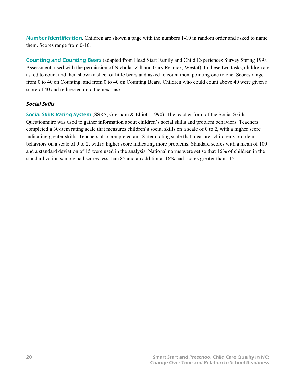Number Identification. Children are shown a page with the numbers 1-10 in random order and asked to name them. Scores range from 0-10.

Counting and Counting Bears (adapted from Head Start Family and Child Experiences Survey Spring 1998 Assessment; used with the permission of Nicholas Zill and Gary Resnick, Westat). In these two tasks, children are asked to count and then shown a sheet of little bears and asked to count them pointing one to one. Scores range from 0 to 40 on Counting, and from 0 to 40 on Counting Bears. Children who could count above 40 were given a score of 40 and redirected onto the next task.

### Social Skills

Social Skills Rating System (SSRS; Gresham & Elliott, 1990). The teacher form of the Social Skills Questionnaire was used to gather information about children's social skills and problem behaviors. Teachers completed a 30-item rating scale that measures children's social skills on a scale of 0 to 2, with a higher score indicating greater skills. Teachers also completed an 18-item rating scale that measures children's problem behaviors on a scale of 0 to 2, with a higher score indicating more problems. Standard scores with a mean of 100 and a standard deviation of 15 were used in the analysis. National norms were set so that 16% of children in the standardization sample had scores less than 85 and an additional 16% had scores greater than 115.